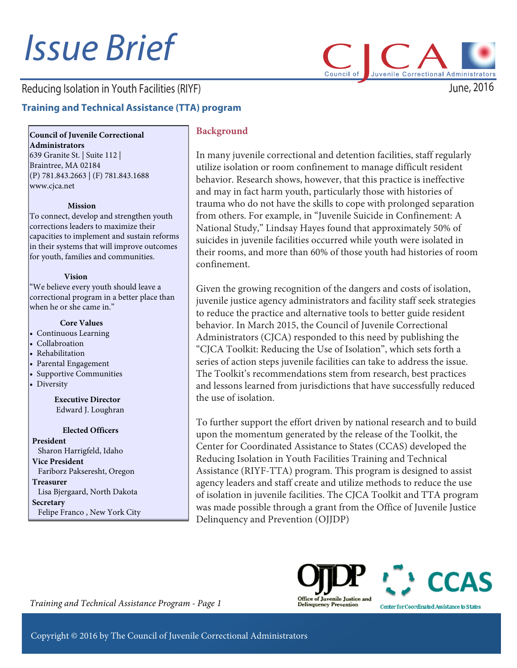# Issue Brief

# Reducing Isolation in Youth Facilities (RIYF)

# **Training and Technical Assistance (TTA) program**

**Council of Juvenile Correctional Administrators**

639 Granite St. | Suite 112 | Braintree, MA 02184 (P) 781.843.2663 | (F) 781.843.1688 www.cjca.net

#### **Mission**

To connect, develop and strengthen youth corrections leaders to maximize their capacities to implement and sustain reforms in their systems that will improve outcomes for youth, families and communities.

#### **Vision**

"We believe every youth should leave a correctional program in a better place than when he or she came in."

#### **Core Values**

- Continuous Learning
- Collabroation
- Rehabilitation
- Parental Engagement
- Supportive Communities
- Diversity

**Executive Director**  Edward J. Loughran

#### **Elected Officers**

**President** Sharon Harrigfeld, Idaho **Vice President** Fariborz Pakseresht, Oregon **Treasurer** Lisa Bjergaard, North Dakota **Secretary** Felipe Franco , New York City

#### **Background**

In many juvenile correctional and detention facilities, staff regularly utilize isolation or room confinement to manage difficult resident behavior. Research shows, however, that this practice is ineffective and may in fact harm youth, particularly those with histories of trauma who do not have the skills to cope with prolonged separation from others. For example, in "Juvenile Suicide in Confinement: A National Study," Lindsay Hayes found that approximately 50% of suicides in juvenile facilities occurred while youth were isolated in their rooms, and more than 60% of those youth had histories of room confinement.

Council of

Given the growing recognition of the dangers and costs of isolation, juvenile justice agency administrators and facility staff seek strategies to reduce the practice and alternative tools to better guide resident behavior. In March 2015, the Council of Juvenile Correctional Administrators (CJCA) responded to this need by publishing the "CJCA Toolkit: Reducing the Use of Isolation", which sets forth a series of action steps juvenile facilities can take to address the issue. The Toolkit's recommendations stem from research, best practices and lessons learned from jurisdictions that have successfully reduced the use of isolation.

To further support the effort driven by national research and to build upon the momentum generated by the release of the Toolkit, the Center for Coordinated Assistance to States (CCAS) developed the Reducing Isolation in Youth Facilities Training and Technical Assistance (RIYF-TTA) program. This program is designed to assist agency leaders and staff create and utilize methods to reduce the use of isolation in juvenile facilities. The CJCA Toolkit and TTA program was made possible through a grant from the Office of Juvenile Justice Delinquency and Prevention (OJJDP)





*Training and Technical Assistance Program - Page 1* 

June, 2016

Juvenile Correctional Administrators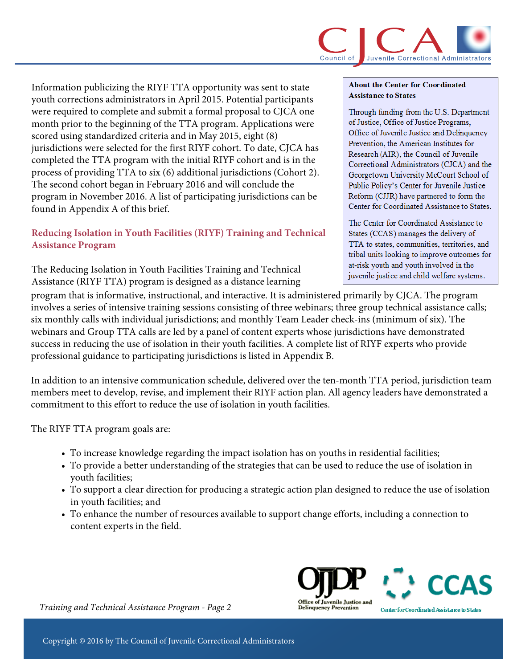Information publicizing the RIYF TTA opportunity was sent to state youth corrections administrators in April 2015. Potential participants were required to complete and submit a formal proposal to CJCA one month prior to the beginning of the TTA program. Applications were scored using standardized criteria and in May 2015, eight (8) jurisdictions were selected for the first RIYF cohort. To date, CJCA has completed the TTA program with the initial RIYF cohort and is in the process of providing TTA to six (6) additional jurisdictions (Cohort 2). The second cohort began in February 2016 and will conclude the program in November 2016. A list of participating jurisdictions can be found in Appendix A of this brief.

# **Reducing Isolation in Youth Facilities (RIYF) Training and Technical Assistance Program**

The Reducing Isolation in Youth Facilities Training and Technical Assistance (RIYF TTA) program is designed as a distance learning

#### **About the Center for Coordinated Assistance to States**

Through funding from the U.S. Department of Justice, Office of Justice Programs, Office of Juvenile Justice and Delinquency Prevention, the American Institutes for Research (AIR), the Council of Juvenile Correctional Administrators (CJCA) and the Georgetown University McCourt School of Public Policy's Center for Juvenile Justice Reform (CJJR) have partnered to form the Center for Coordinated Assistance to States.

The Center for Coordinated Assistance to States (CCAS) manages the delivery of TTA to states, communities, territories, and tribal units looking to improve outcomes for at-risk youth and youth involved in the juvenile justice and child welfare systems.

program that is informative, instructional, and interactive. It is administered primarily by CJCA. The program involves a series of intensive training sessions consisting of three webinars; three group technical assistance calls; six monthly calls with individual jurisdictions; and monthly Team Leader check-ins (minimum of six). The webinars and Group TTA calls are led by a panel of content experts whose jurisdictions have demonstrated success in reducing the use of isolation in their youth facilities. A complete list of RIYF experts who provide professional guidance to participating jurisdictions is listed in Appendix B.

In addition to an intensive communication schedule, delivered over the ten-month TTA period, jurisdiction team members meet to develop, revise, and implement their RIYF action plan. All agency leaders have demonstrated a commitment to this effort to reduce the use of isolation in youth facilities.

The RIYF TTA program goals are:

- To increase knowledge regarding the impact isolation has on youths in residential facilities;
- To provide a better understanding of the strategies that can be used to reduce the use of isolation in youth facilities;
- To support a clear direction for producing a strategic action plan designed to reduce the use of isolation in youth facilities; and
- To enhance the number of resources available to support change efforts, including a connection to content experts in the field.





Center for Coordinated Assistance to States

*Training and Technical Assistance Program - Page 2*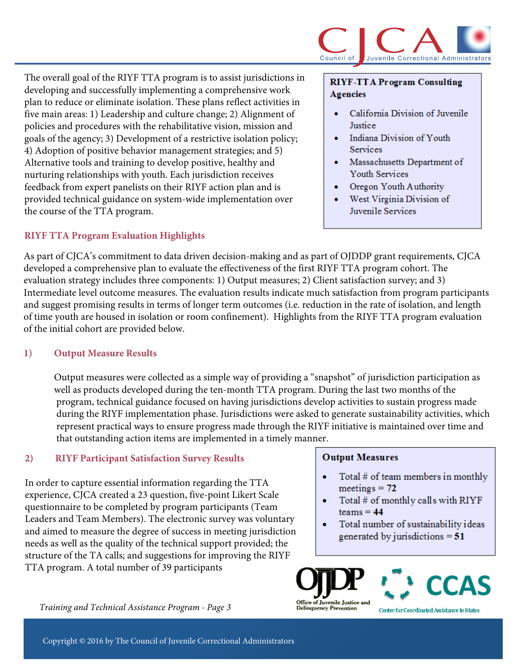

The overall goal of the RIYF TTA program is to assist jurisdictions in developing and successfully implementing a comprehensive work plan to reduce or eliminate isolation. These plans reflect activities in five main areas: 1) Leadership and culture change; 2) Alignment of policies and procedures with the rehabilitative vision, mission and goals of the agency; 3) Development of a restrictive isolation policy; 4) Adoption of positive behavior management strategies; and 5) Alternative tools and training to develop positive, healthy and nurturing relationships with youth. Each jurisdiction receives feedback from expert panelists on their RIYF action plan and is provided technical guidance on system-wide implementation over the course of the TTA program.

## **RIYF TTA Program Evaluation Highlights**

#### **RIYF-TTA Program Consulting Agencies**

- California Division of Juvenile Justice
- Indiana Division of Youth Services
- Massachusetts Department of  $\bullet$ Youth Services
- Oregon Youth Authority
- West Virginia Division of Juvenile Services

As part of CJCA's commitment to data driven decision-making and as part of OJDDP grant requirements, CJCA developed a comprehensive plan to evaluate the effectiveness of the first RIYF TTA program cohort. The evaluation strategy includes three components: 1) Output measures; 2) Client satisfaction survey; and 3) Intermediate level outcome measures. The evaluation results indicate much satisfaction from program participants and suggest promising results in terms of longer term outcomes (i.e. reduction in the rate of isolation, and length of time youth are housed in isolation or room confinement). Highlights from the RIYF TTA program evaluation of the initial cohort are provided below.

## **1) Output Measure Results**

Output measures were collected as a simple way of providing a "snapshot" of jurisdiction participation as well as products developed during the ten-month TTA program. During the last two months of the program, technical guidance focused on having jurisdictions develop activities to sustain progress made during the RIYF implementation phase. Jurisdictions were asked to generate sustainability activities, which represent practical ways to ensure progress made through the RIYF initiative is maintained over time and that outstanding action items are implemented in a timely manner.

## **2) RIYF Participant Satisfaction Survey Results**

In order to capture essential information regarding the TTA experience, CJCA created a 23 question, five-point Likert Scale questionnaire to be completed by program participants (Team Leaders and Team Members). The electronic survey was voluntary and aimed to measure the degree of success in meeting jurisdiction needs as well as the quality of the technical support provided; the structure of the TA calls; and suggestions for improving the RIYF TTA program. A total number of 39 participants

*Training and Technical Assistance Program - Page 3*

### **Output Measures**

- Total  $#$  of team members in monthly  $meetings = 72$
- Total  $#$  of monthly calls with RIYF  $teams = 44$
- Total number of sustainability ideas generated by jurisdictions  $= 51$





Center for Coordinated Assistance to States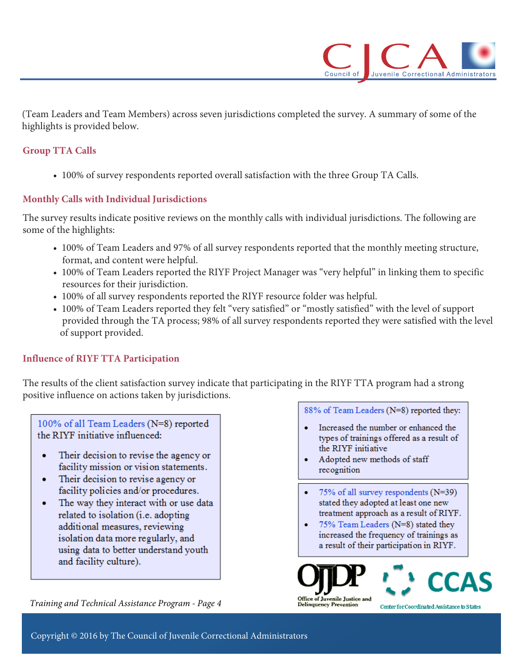

(Team Leaders and Team Members) across seven jurisdictions completed the survey. A summary of some of the highlights is provided below.

## **Group TTA Calls**

• 100% of survey respondents reported overall satisfaction with the three Group TA Calls.

## **Monthly Calls with Individual Jurisdictions**

The survey results indicate positive reviews on the monthly calls with individual jurisdictions. The following are some of the highlights:

- 100% of Team Leaders and 97% of all survey respondents reported that the monthly meeting structure, format, and content were helpful.
- 100% of Team Leaders reported the RIYF Project Manager was "very helpful" in linking them to specific resources for their jurisdiction.
- 100% of all survey respondents reported the RIYF resource folder was helpful.
- 100% of Team Leaders reported they felt "very satisfied" or "mostly satisfied" with the level of support provided through the TA process; 98% of all survey respondents reported they were satisfied with the level of support provided.

## **Influence of RIYF TTA Participation**

The results of the client satisfaction survey indicate that participating in the RIYF TTA program had a strong positive influence on actions taken by jurisdictions.

100% of all Team Leaders (N=8) reported the RIYF initiative influenced:

- Their decision to revise the agency or facility mission or vision statements.
- Their decision to revise agency or  $\bullet$ facility policies and/or procedures.
- The way they interact with or use data related to isolation (i.e. adopting additional measures, reviewing isolation data more regularly, and using data to better understand youth and facility culture).

*Training and Technical Assistance Program - Page 4*

88% of Team Leaders (N=8) reported they:

- Increased the number or enhanced the types of trainings offered as a result of the RIYF initiative
- Adopted new methods of staff recognition
- 75% of all survey respondents  $(N=39)$ stated they adopted at least one new treatment approach as a result of RIYF.
- 75% Team Leaders (N=8) stated they increased the frequency of trainings as a result of their participation in RIYF.



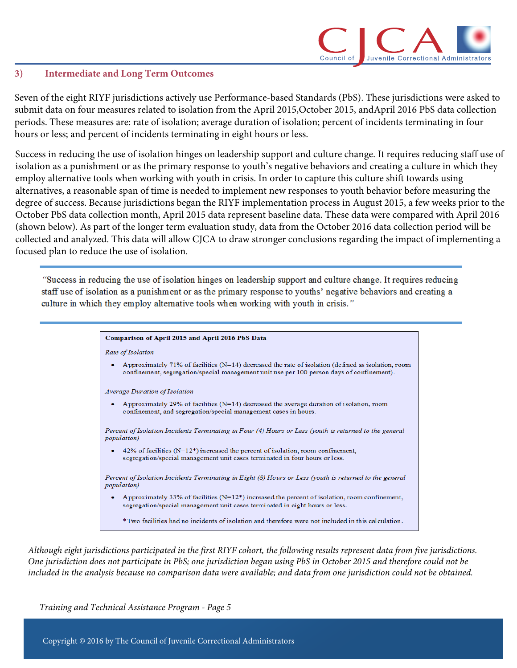

#### **3) Intermediate and Long Term Outcomes**

Seven of the eight RIYF jurisdictions actively use Performance-based Standards (PbS). These jurisdictions were asked to submit data on four measures related to isolation from the April 2015,October 2015, andApril 2016 PbS data collection periods. These measures are: rate of isolation; average duration of isolation; percent of incidents terminating in four hours or less; and percent of incidents terminating in eight hours or less.

Success in reducing the use of isolation hinges on leadership support and culture change. It requires reducing staff use of isolation as a punishment or as the primary response to youth's negative behaviors and creating a culture in which they employ alternative tools when working with youth in crisis. In order to capture this culture shift towards using alternatives, a reasonable span of time is needed to implement new responses to youth behavior before measuring the degree of success. Because jurisdictions began the RIYF implementation process in August 2015, a few weeks prior to the October PbS data collection month, April 2015 data represent baseline data. These data were compared with April 2016 (shown below). As part of the longer term evaluation study, data from the October 2016 data collection period will be collected and analyzed. This data will allow CJCA to draw stronger conclusions regarding the impact of implementing a focused plan to reduce the use of isolation.

"Success in reducing the use of isolation hinges on leadership support and culture change. It requires reducing staff use of isolation as a punishment or as the primary response to youths' negative behaviors and creating a culture in which they employ alternative tools when working with youth in crisis."

#### Comparison of April 2015 and April 2016 PbS Data

Rate of Isolation

Approximately 71% of facilities (N=14) decreased the rate of isolation (defined as isolation, room confinement, segregation/special management unit use per 100 person days of confinement).

**Average Duration of Isolation** 

Approximately 29% of facilities (N=14) decreased the average duration of isolation, room confinement, and segregation/special management cases in hours.

Percent of Isolation Incidents Terminating in Four (4) Hours or Less (youth is returned to the general *population*)

42% of facilities ( $N=12^*$ ) increased the percent of isolation, room confinement, segregation/special management unit cases terminated in four hours or less.

Percent of Isolation Incidents Terminating in Eight (8) Hours or Less (youth is returned to the general *population*)

Approximately 33% of facilities (N=12\*) increased the percent of isolation, room confinement, segregation/special management unit cases terminated in eight hours or less.

\*Two facilities had no incidents of isolation and therefore were not included in this calculation.

*Although eight jurisdictions participated in the first RIYF cohort, the following results represent data from five jurisdictions. One jurisdiction does not participate in PbS; one jurisdiction began using PbS in October 2015 and therefore could not be included in the analysis because no comparison data were available; and data from one jurisdiction could not be obtained.*

*Training and Technical Assistance Program - Page 5*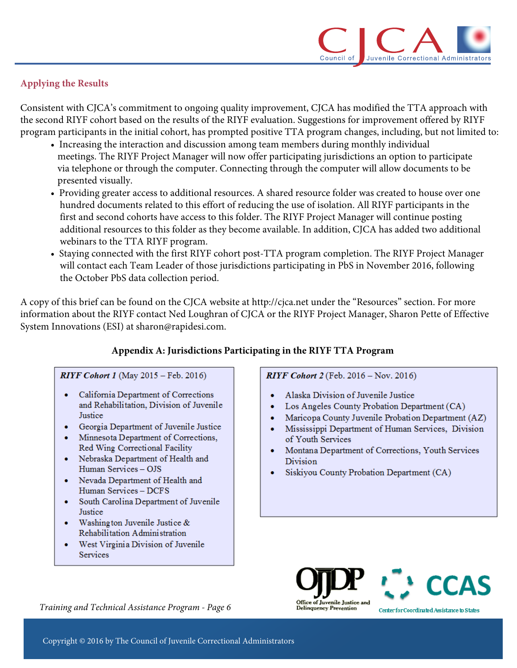

# **Applying the Results**

Consistent with CJCA's commitment to ongoing quality improvement, CJCA has modified the TTA approach with the second RIYF cohort based on the results of the RIYF evaluation. Suggestions for improvement offered by RIYF program participants in the initial cohort, has prompted positive TTA program changes, including, but not limited to:

- Increasing the interaction and discussion among team members during monthly individual meetings. The RIYF Project Manager will now offer participating jurisdictions an option to participate via telephone or through the computer. Connecting through the computer will allow documents to be presented visually.
- Providing greater access to additional resources. A shared resource folder was created to house over one hundred documents related to this effort of reducing the use of isolation. All RIYF participants in the first and second cohorts have access to this folder. The RIYF Project Manager will continue posting additional resources to this folder as they become available. In addition, CJCA has added two additional webinars to the TTA RIYF program.
- Staying connected with the first RIYF cohort post-TTA program completion. The RIYF Project Manager will contact each Team Leader of those jurisdictions participating in PbS in November 2016, following the October PbS data collection period.

A copy of this brief can be found on the CJCA website at http://cjca.net under the "Resources" section. For more information about the RIYF contact Ned Loughran of CJCA or the RIYF Project Manager, Sharon Pette of Effective System Innovations (ESI) at sharon@rapidesi.com.

## **Appendix A: Jurisdictions Participating in the RIYF TTA Program**

### **RIYF Cohort 1** (May  $2015 -$  Feb. 2016)

- California Department of Corrections and Rehabilitation. Division of Juvenile Justice
- Georgia Department of Juvenile Justice
- Minnesota Department of Corrections, Red Wing Correctional Facility
- Nebraska Department of Health and Human Services - OJS
- Nevada Department of Health and Human Services - DCFS
- South Carolina Department of Juvenile Justice
- Washington Juvenile Justice  $&$ Rehabilitation Administration
- West Virginia Division of Juvenile Services

**RIYF Cohort 2** (Feb. 2016 – Nov. 2016)

- Alaska Division of Juvenile Justice
- $\bullet$  . Los Angeles County Probation Department (CA)
- Maricopa County Juvenile Probation Department (AZ)
- Mississippi Department of Human Services, Division of Youth Services
- Montana Department of Corrections, Youth Services Division
- · Siskiyou County Probation Department (CA)





*Training and Technical Assistance Program - Page 6*